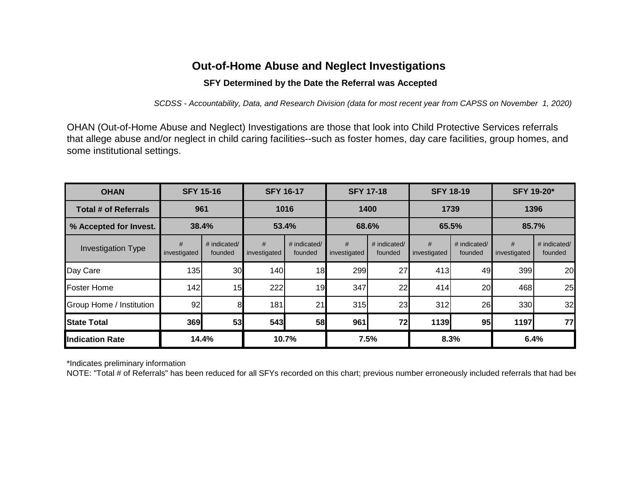## **Out-of-Home Abuse and Neglect Investigations**

## **SFY Determined by the Date the Referral was Accepted**

*SCDSS - Accountability, Data, and Research Division (data for most recent year from CAPSS on November 1, 2020)*

OHAN (Out-of-Home Abuse and Neglect) Investigations are those that look into Child Protective Services referrals that allege abuse and/or neglect in child caring facilities--such as foster homes, day care facilities, group homes, and some institutional settings.

| <b>OHAN</b>                 | <b>SFY 15-16</b>  |                         | <b>SFY 16-17</b>  |                         | <b>SFY 17-18</b>  |                         | <b>SFY 18-19</b>  |                         | <b>SFY 19-20*</b> |                         |
|-----------------------------|-------------------|-------------------------|-------------------|-------------------------|-------------------|-------------------------|-------------------|-------------------------|-------------------|-------------------------|
| <b>Total # of Referrals</b> | 961               |                         | 1016              |                         | 1400              |                         | 1739              |                         | 1396              |                         |
| % Accepted for Invest.      | 38.4%             |                         | 53.4%             |                         | 68.6%             |                         | 65.5%             |                         | 85.7%             |                         |
| <b>Investigation Type</b>   | #<br>investigated | # indicated/<br>founded | #<br>investigated | # indicated/<br>founded | #<br>investigated | # indicated/<br>founded | #<br>investigated | # indicated/<br>founded | #<br>investigated | # indicated/<br>founded |
| Day Care                    | 135               | 30                      | 140               | 18                      | 299               | 27                      | 413               | 49                      | 399               | 20                      |
| <b>Foster Home</b>          | 142               | 15                      | 222               | 19                      | 347               | 22                      | 414               | 20                      | 468               | 25                      |
| Group Home / Institution    | 92                | 8                       | 181               | 21                      | 315               | 23                      | 312               | 26                      | 330               | 32                      |
| <b>State Total</b>          | 369               | 53                      | 543               | 58                      | 961               | 72                      | 1139              | 95                      | 1197              | 77                      |
| <b>Indication Rate</b>      | 14.4%             |                         | 10.7%             |                         | 7.5%              |                         | 8.3%              |                         | 6.4%              |                         |

\*Indicates preliminary information

NOTE: "Total # of Referrals" has been reduced for all SFYs recorded on this chart; previous number erroneously included referrals that had been